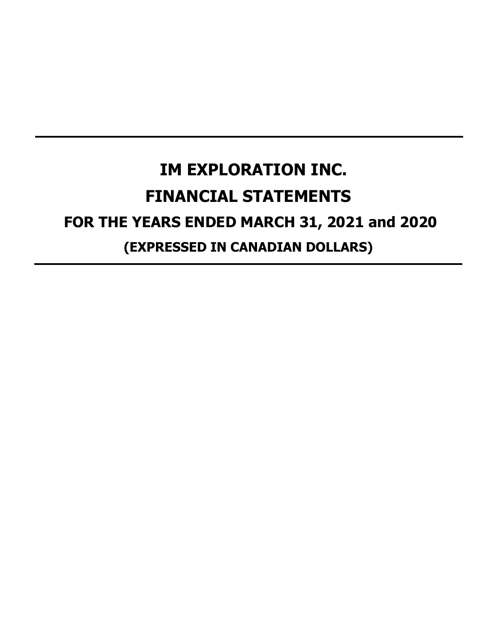# **IM EXPLORATION INC. FINANCIAL STATEMENTS FOR THE YEARS ENDED MARCH 31, 2021 and 2020 (EXPRESSED IN CANADIAN DOLLARS)**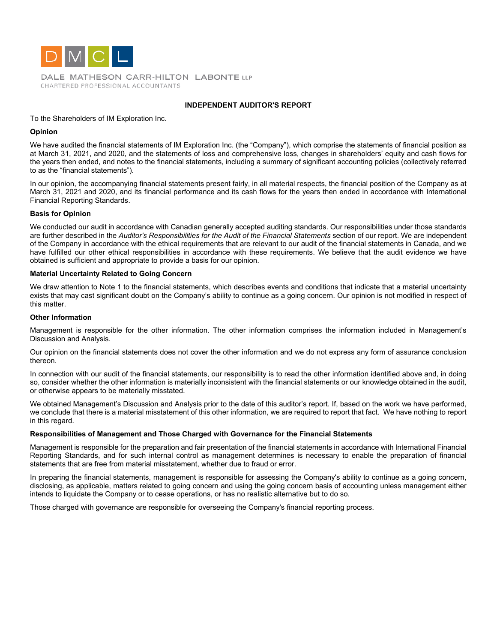

DALE MATHESON CARR-HILTON LABONTE LLP CHARTERED PROFESSIONAL ACCOUNTANTS

#### **INDEPENDENT AUDITOR'S REPORT**

#### To the Shareholders of IM Exploration Inc.

#### **Opinion**

We have audited the financial statements of IM Exploration Inc. (the "Company"), which comprise the statements of financial position as at March 31, 2021, and 2020, and the statements of loss and comprehensive loss, changes in shareholders' equity and cash flows for the years then ended, and notes to the financial statements, including a summary of significant accounting policies (collectively referred to as the "financial statements").

In our opinion, the accompanying financial statements present fairly, in all material respects, the financial position of the Company as at March 31, 2021 and 2020, and its financial performance and its cash flows for the years then ended in accordance with International Financial Reporting Standards.

#### **Basis for Opinion**

We conducted our audit in accordance with Canadian generally accepted auditing standards. Our responsibilities under those standards are further described in the *Auditor's Responsibilities for the Audit of the Financial Statements* section of our report. We are independent of the Company in accordance with the ethical requirements that are relevant to our audit of the financial statements in Canada, and we have fulfilled our other ethical responsibilities in accordance with these requirements. We believe that the audit evidence we have obtained is sufficient and appropriate to provide a basis for our opinion.

#### **Material Uncertainty Related to Going Concern**

We draw attention to Note 1 to the financial statements, which describes events and conditions that indicate that a material uncertainty exists that may cast significant doubt on the Company's ability to continue as a going concern. Our opinion is not modified in respect of this matter.

#### **Other Information**

Management is responsible for the other information. The other information comprises the information included in Management's Discussion and Analysis.

Our opinion on the financial statements does not cover the other information and we do not express any form of assurance conclusion thereon.

In connection with our audit of the financial statements, our responsibility is to read the other information identified above and, in doing so, consider whether the other information is materially inconsistent with the financial statements or our knowledge obtained in the audit, or otherwise appears to be materially misstated.

We obtained Management's Discussion and Analysis prior to the date of this auditor's report. If, based on the work we have performed, we conclude that there is a material misstatement of this other information, we are required to report that fact. We have nothing to report in this regard.

#### **Responsibilities of Management and Those Charged with Governance for the Financial Statements**

Management is responsible for the preparation and fair presentation of the financial statements in accordance with International Financial Reporting Standards, and for such internal control as management determines is necessary to enable the preparation of financial statements that are free from material misstatement, whether due to fraud or error.

In preparing the financial statements, management is responsible for assessing the Company's ability to continue as a going concern, disclosing, as applicable, matters related to going concern and using the going concern basis of accounting unless management either intends to liquidate the Company or to cease operations, or has no realistic alternative but to do so.

Those charged with governance are responsible for overseeing the Company's financial reporting process.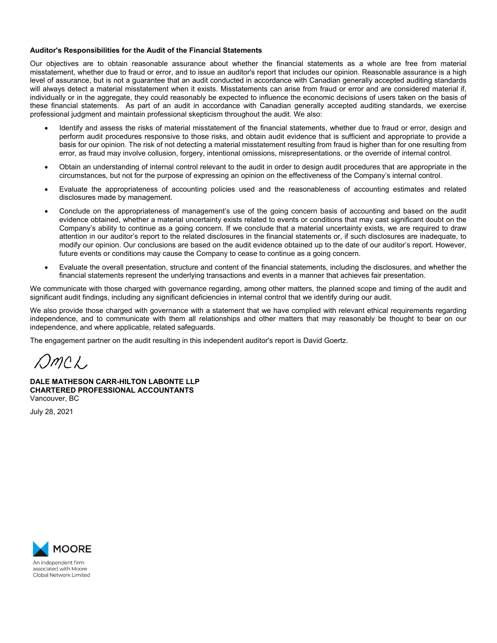#### **Auditor's Responsibilities for the Audit of the Financial Statements**

Our objectives are to obtain reasonable assurance about whether the financial statements as a whole are free from material misstatement, whether due to fraud or error, and to issue an auditor's report that includes our opinion. Reasonable assurance is a high level of assurance, but is not a guarantee that an audit conducted in accordance with Canadian generally accepted auditing standards will always detect a material misstatement when it exists. Misstatements can arise from fraud or error and are considered material if, individually or in the aggregate, they could reasonably be expected to influence the economic decisions of users taken on the basis of these financial statements. As part of an audit in accordance with Canadian generally accepted auditing standards, we exercise professional judgment and maintain professional skepticism throughout the audit. We also:

- Identify and assess the risks of material misstatement of the financial statements, whether due to fraud or error, design and perform audit procedures responsive to those risks, and obtain audit evidence that is sufficient and appropriate to provide a basis for our opinion. The risk of not detecting a material misstatement resulting from fraud is higher than for one resulting from error, as fraud may involve collusion, forgery, intentional omissions, misrepresentations, or the override of internal control.
- Obtain an understanding of internal control relevant to the audit in order to design audit procedures that are appropriate in the circumstances, but not for the purpose of expressing an opinion on the effectiveness of the Company's internal control.
- Evaluate the appropriateness of accounting policies used and the reasonableness of accounting estimates and related disclosures made by management.
- Conclude on the appropriateness of management's use of the going concern basis of accounting and based on the audit evidence obtained, whether a material uncertainty exists related to events or conditions that may cast significant doubt on the Company's ability to continue as a going concern. If we conclude that a material uncertainty exists, we are required to draw attention in our auditor's report to the related disclosures in the financial statements or, if such disclosures are inadequate, to modify our opinion. Our conclusions are based on the audit evidence obtained up to the date of our auditor's report. However, future events or conditions may cause the Company to cease to continue as a going concern.
- Evaluate the overall presentation, structure and content of the financial statements, including the disclosures, and whether the financial statements represent the underlying transactions and events in a manner that achieves fair presentation.

We communicate with those charged with governance regarding, among other matters, the planned scope and timing of the audit and significant audit findings, including any significant deficiencies in internal control that we identify during our audit.

We also provide those charged with governance with a statement that we have complied with relevant ethical requirements regarding independence, and to communicate with them all relationships and other matters that may reasonably be thought to bear on our independence, and where applicable, related safeguards.

The engagement partner on the audit resulting in this independent auditor's report is David Goertz.

Dmol.

**DALE MATHESON CARR-HILTON LABONTE LLP CHARTERED PROFESSIONAL ACCOUNTANTS** Vancouver, BC

July 28, 2021

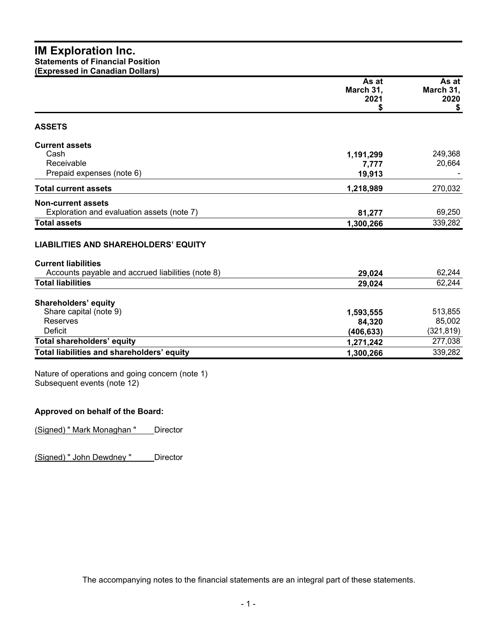|                                                   | As at             | As at             |  |
|---------------------------------------------------|-------------------|-------------------|--|
|                                                   | March 31,<br>2021 | March 31,<br>2020 |  |
|                                                   | S                 | \$                |  |
| <b>ASSETS</b>                                     |                   |                   |  |
| <b>Current assets</b>                             |                   |                   |  |
| Cash                                              | 1,191,299         | 249,368           |  |
| Receivable                                        | 7,777             | 20,664            |  |
| Prepaid expenses (note 6)                         | 19,913            |                   |  |
| <b>Total current assets</b>                       | 1,218,989         | 270,032           |  |
| <b>Non-current assets</b>                         |                   |                   |  |
| Exploration and evaluation assets (note 7)        | 81,277            | 69,250            |  |
| <b>Total assets</b>                               | 1,300,266         | 339,282           |  |
| <b>LIABILITIES AND SHAREHOLDERS' EQUITY</b>       |                   |                   |  |
| <b>Current liabilities</b>                        |                   |                   |  |
| Accounts payable and accrued liabilities (note 8) | 29,024            | 62,244            |  |
| <b>Total liabilities</b>                          | 29,024            | 62,244            |  |
| Shareholders' equity                              |                   |                   |  |
| Share capital (note 9)                            | 1,593,555         | 513,855           |  |
| Reserves                                          | 84,320            | 85,002            |  |
| Deficit                                           | (406, 633)        | (321, 819)        |  |
| Total shareholders' equity                        | 1,271,242         | 277,038           |  |
| Total liabilities and shareholders' equity        | 1,300,266         | 339,282           |  |

Nature of operations and going concern (note 1) Subsequent events (note 12)

# **Approved on behalf of the Board:**

(Signed) " Mark Monaghan " Director

(Signed) " John Dewdney " Director

The accompanying notes to the financial statements are an integral part of these statements.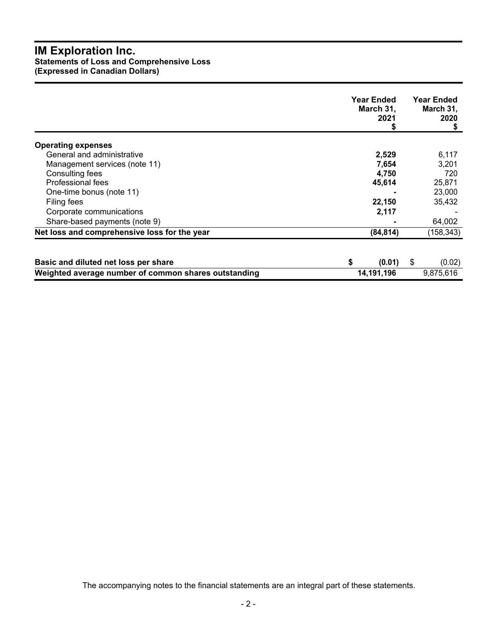# **IM Exploration Inc. Statements of Loss and Comprehensive Loss**

**(Expressed in Canadian Dollars)**

|                                                      | <b>Year Ended</b><br>March 31,<br>2021 | Year Ended<br>March 31,<br>2020<br>S |
|------------------------------------------------------|----------------------------------------|--------------------------------------|
| <b>Operating expenses</b>                            |                                        |                                      |
| General and administrative                           | 2,529                                  | 6,117                                |
| Management services (note 11)                        | 7,654                                  | 3,201                                |
| Consulting fees                                      | 4,750                                  | 720                                  |
| Professional fees                                    | 45,614                                 | 25,871                               |
| One-time bonus (note 11)                             |                                        | 23,000                               |
| Filing fees                                          | 22,150                                 | 35,432                               |
| Corporate communications                             | 2,117                                  |                                      |
| Share-based payments (note 9)                        |                                        | 64,002                               |
| Net loss and comprehensive loss for the year         | (84, 814)                              | (158, 343)                           |
|                                                      |                                        |                                      |
| Basic and diluted net loss per share                 | (0.01)<br>S                            | \$<br>(0.02)                         |
| Weighted average number of common shares outstanding | 14,191,196                             | 9,875,616                            |

The accompanying notes to the financial statements are an integral part of these statements.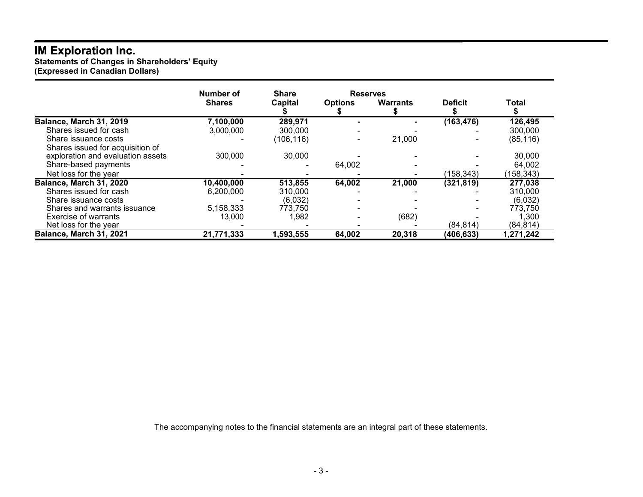# **IM Exploration Inc.**

**Statements of Changes in Shareholders' Equity (Expressed in Canadian Dollars)**

|                                   | Number of     | <b>Share</b> | <b>Reserves</b> |                 |                |              |
|-----------------------------------|---------------|--------------|-----------------|-----------------|----------------|--------------|
|                                   | <b>Shares</b> | Capital      | <b>Options</b>  | <b>Warrants</b> | <b>Deficit</b> | <b>Total</b> |
| Balance, March 31, 2019           | 7,100,000     | 289,971      |                 |                 | (163, 476)     | 126,495      |
| Shares issued for cash            | 3,000,000     | 300,000      |                 |                 |                | 300,000      |
| Share issuance costs              |               | (106, 116)   |                 | 21,000          |                | (85, 116)    |
| Shares issued for acquisition of  |               |              |                 |                 |                |              |
| exploration and evaluation assets | 300,000       | 30,000       |                 |                 |                | 30,000       |
| Share-based payments              |               |              | 64,002          |                 |                | 64,002       |
| Net loss for the year             |               |              |                 |                 | (158, 343)     | (158, 343)   |
| Balance, March 31, 2020           | 10,400,000    | 513,855      | 64,002          | 21,000          | (321, 819)     | 277,038      |
| Shares issued for cash            | 6,200,000     | 310,000      |                 |                 |                | 310,000      |
| Share issuance costs              |               | (6,032)      |                 |                 |                | (6,032)      |
| Shares and warrants issuance      | 5,158,333     | 773,750      |                 |                 |                | 773,750      |
| <b>Exercise of warrants</b>       | 13,000        | 1,982        |                 | (682)           |                | 1,300        |
| Net loss for the year             |               |              |                 |                 | (84, 814)      | (84, 814)    |
| Balance, March 31, 2021           | 21,771,333    | 1,593,555    | 64,002          | 20,318          | (406, 633)     | 1,271,242    |

The accompanying notes to the financial statements are an integral part of these statements.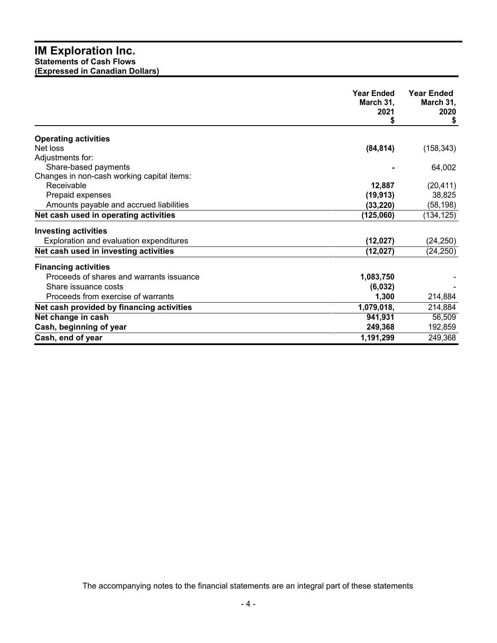# **IM Exploration Inc. Statements of Cash Flows (Expressed in Canadian Dollars)**

|                                            | <b>Year Ended</b><br>March 31,<br>2021<br>S | <b>Year Ended</b><br>March 31,<br>2020<br>\$ |
|--------------------------------------------|---------------------------------------------|----------------------------------------------|
| <b>Operating activities</b>                |                                             |                                              |
| Net loss                                   | (84, 814)                                   | (158, 343)                                   |
| Adjustments for:                           |                                             |                                              |
| Share-based payments                       |                                             | 64,002                                       |
| Changes in non-cash working capital items: |                                             |                                              |
| Receivable                                 | 12,887                                      | (20, 411)                                    |
| Prepaid expenses                           | (19, 913)                                   | 38,825                                       |
| Amounts payable and accrued liabilities    | (33, 220)                                   | (58, 198)                                    |
| Net cash used in operating activities      | (125,060)                                   | (134, 125)                                   |
| <b>Investing activities</b>                |                                             |                                              |
| Exploration and evaluation expenditures    | (12, 027)                                   | (24, 250)                                    |
| Net cash used in investing activities      | (12, 027)                                   | (24, 250)                                    |
| <b>Financing activities</b>                |                                             |                                              |
| Proceeds of shares and warrants issuance   | 1,083,750                                   |                                              |
| Share issuance costs                       | (6,032)                                     |                                              |
| Proceeds from exercise of warrants         | 1,300                                       | 214,884                                      |
| Net cash provided by financing activities  | 1,079,018,                                  | 214,884                                      |
| Net change in cash                         | 941,931                                     | 56,509                                       |
| Cash, beginning of year                    | 249,368                                     | 192,859                                      |
| Cash, end of year                          | 1,191,299                                   | 249,368                                      |

The accompanying notes to the financial statements are an integral part of these statements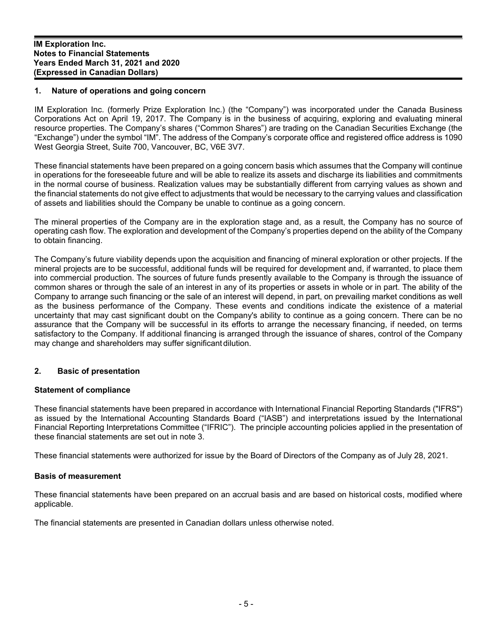# **1. Nature of operations and going concern**

IM Exploration Inc. (formerly Prize Exploration Inc.) (the "Company") was incorporated under the Canada Business Corporations Act on April 19, 2017. The Company is in the business of acquiring, exploring and evaluating mineral resource properties. The Company's shares ("Common Shares") are trading on the Canadian Securities Exchange (the "Exchange") under the symbol "IM". The address of the Company's corporate office and registered office address is 1090 West Georgia Street, Suite 700, Vancouver, BC, V6E 3V7.

These financial statements have been prepared on a going concern basis which assumes that the Company will continue in operations for the foreseeable future and will be able to realize its assets and discharge its liabilities and commitments in the normal course of business. Realization values may be substantially different from carrying values as shown and the financial statements do not give effect to adjustments that would be necessary to the carrying values and classification of assets and liabilities should the Company be unable to continue as a going concern.

The mineral properties of the Company are in the exploration stage and, as a result, the Company has no source of operating cash flow. The exploration and development of the Company's properties depend on the ability of the Company to obtain financing.

The Company's future viability depends upon the acquisition and financing of mineral exploration or other projects. If the mineral projects are to be successful, additional funds will be required for development and, if warranted, to place them into commercial production. The sources of future funds presently available to the Company is through the issuance of common shares or through the sale of an interest in any of its properties or assets in whole or in part. The ability of the Company to arrange such financing or the sale of an interest will depend, in part, on prevailing market conditions as well as the business performance of the Company. These events and conditions indicate the existence of a material uncertainty that may cast significant doubt on the Company's ability to continue as a going concern. There can be no assurance that the Company will be successful in its efforts to arrange the necessary financing, if needed, on terms satisfactory to the Company. If additional financing is arranged through the issuance of shares, control of the Company may change and shareholders may suffer significant dilution.

# **2. Basic of presentation**

#### **Statement of compliance**

These financial statements have been prepared in accordance with International Financial Reporting Standards ("IFRS") as issued by the International Accounting Standards Board ("IASB") and interpretations issued by the International Financial Reporting Interpretations Committee ("IFRIC"). The principle accounting policies applied in the presentation of these financial statements are set out in note 3.

These financial statements were authorized for issue by the Board of Directors of the Company as of July 28, 2021.

#### **Basis of measurement**

These financial statements have been prepared on an accrual basis and are based on historical costs, modified where applicable.

The financial statements are presented in Canadian dollars unless otherwise noted.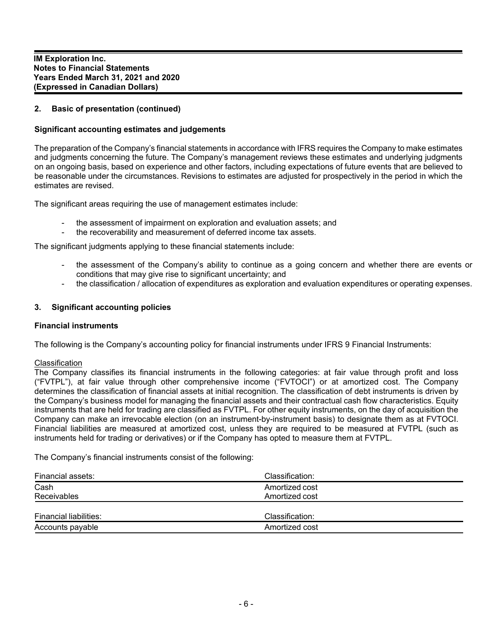# **2. Basic of presentation (continued)**

# **Significant accounting estimates and judgements**

The preparation of the Company's financial statements in accordance with IFRS requires the Company to make estimates and judgments concerning the future. The Company's management reviews these estimates and underlying judgments on an ongoing basis, based on experience and other factors, including expectations of future events that are believed to be reasonable under the circumstances. Revisions to estimates are adjusted for prospectively in the period in which the estimates are revised.

The significant areas requiring the use of management estimates include:

- the assessment of impairment on exploration and evaluation assets; and
- the recoverability and measurement of deferred income tax assets.

The significant judgments applying to these financial statements include:

- the assessment of the Company's ability to continue as a going concern and whether there are events or conditions that may give rise to significant uncertainty; and
- the classification / allocation of expenditures as exploration and evaluation expenditures or operating expenses.

# **3. Significant accounting policies**

# **Financial instruments**

The following is the Company's accounting policy for financial instruments under IFRS 9 Financial Instruments:

#### Classification

The Company classifies its financial instruments in the following categories: at fair value through profit and loss ("FVTPL"), at fair value through other comprehensive income ("FVTOCI") or at amortized cost. The Company determines the classification of financial assets at initial recognition. The classification of debt instruments is driven by the Company's business model for managing the financial assets and their contractual cash flow characteristics. Equity instruments that are held for trading are classified as FVTPL. For other equity instruments, on the day of acquisition the Company can make an irrevocable election (on an instrument-by-instrument basis) to designate them as at FVTOCI. Financial liabilities are measured at amortized cost, unless they are required to be measured at FVTPL (such as instruments held for trading or derivatives) or if the Company has opted to measure them at FVTPL.

The Company's financial instruments consist of the following:

| Financial assets:      | Classification: |
|------------------------|-----------------|
| Cash                   | Amortized cost  |
| <b>Receivables</b>     | Amortized cost  |
|                        |                 |
| Financial liabilities: | Classification: |
| Accounts payable       | Amortized cost  |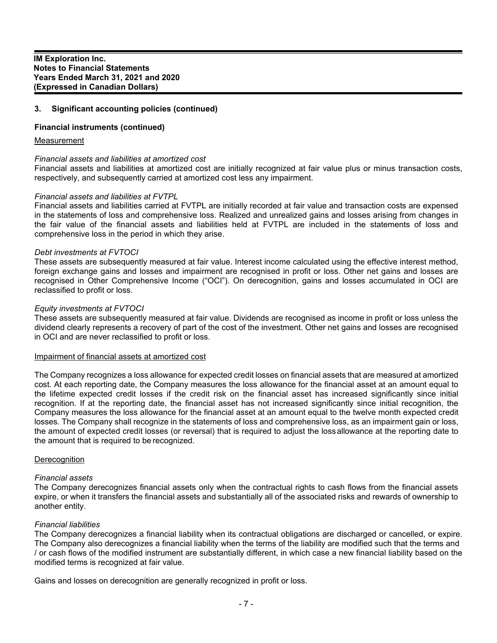#### **Financial instruments (continued)**

#### Measurement

#### *Financial assets and liabilities at amortized cost*

Financial assets and liabilities at amortized cost are initially recognized at fair value plus or minus transaction costs, respectively, and subsequently carried at amortized cost less any impairment.

#### *Financial assets and liabilities at FVTPL*

Financial assets and liabilities carried at FVTPL are initially recorded at fair value and transaction costs are expensed in the statements of loss and comprehensive loss. Realized and unrealized gains and losses arising from changes in the fair value of the financial assets and liabilities held at FVTPL are included in the statements of loss and comprehensive loss in the period in which they arise.

#### *Debt investments at FVTOCI*

These assets are subsequently measured at fair value. Interest income calculated using the effective interest method, foreign exchange gains and losses and impairment are recognised in profit or loss. Other net gains and losses are recognised in Other Comprehensive Income ("OCI"). On derecognition, gains and losses accumulated in OCI are reclassified to profit or loss.

#### *Equity investments at FVTOCI*

These assets are subsequently measured at fair value. Dividends are recognised as income in profit or loss unless the dividend clearly represents a recovery of part of the cost of the investment. Other net gains and losses are recognised in OCI and are never reclassified to profit or loss.

#### Impairment of financial assets at amortized cost

The Company recognizes a loss allowance for expected credit losses on financial assets that are measured at amortized cost. At each reporting date, the Company measures the loss allowance for the financial asset at an amount equal to the lifetime expected credit losses if the credit risk on the financial asset has increased significantly since initial recognition. If at the reporting date, the financial asset has not increased significantly since initial recognition, the Company measures the loss allowance for the financial asset at an amount equal to the twelve month expected credit losses. The Company shall recognize in the statements of loss and comprehensive loss, as an impairment gain or loss, the amount of expected credit losses (or reversal) that is required to adjust the lossallowance at the reporting date to the amount that is required to be recognized.

#### **Derecognition**

#### *Financial assets*

The Company derecognizes financial assets only when the contractual rights to cash flows from the financial assets expire, or when it transfers the financial assets and substantially all of the associated risks and rewards of ownership to another entity.

#### *Financial liabilities*

The Company derecognizes a financial liability when its contractual obligations are discharged or cancelled, or expire. The Company also derecognizes a financial liability when the terms of the liability are modified such that the terms and / or cash flows of the modified instrument are substantially different, in which case a new financial liability based on the modified terms is recognized at fair value.

Gains and losses on derecognition are generally recognized in profit or loss.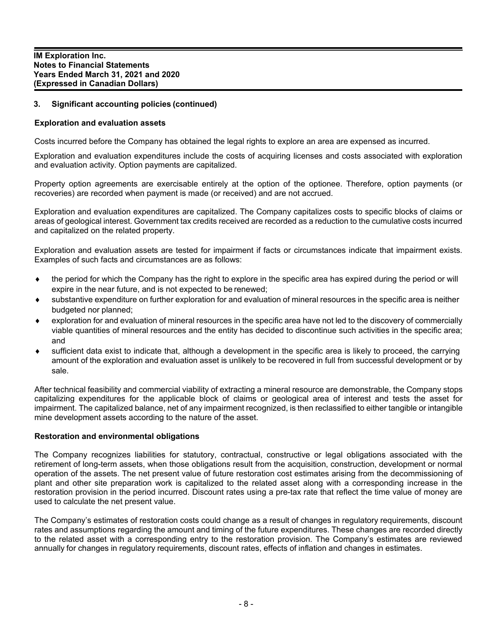#### **Exploration and evaluation assets**

Costs incurred before the Company has obtained the legal rights to explore an area are expensed as incurred.

Exploration and evaluation expenditures include the costs of acquiring licenses and costs associated with exploration and evaluation activity. Option payments are capitalized.

Property option agreements are exercisable entirely at the option of the optionee. Therefore, option payments (or recoveries) are recorded when payment is made (or received) and are not accrued.

Exploration and evaluation expenditures are capitalized. The Company capitalizes costs to specific blocks of claims or areas of geological interest. Government tax credits received are recorded as a reduction to the cumulative costs incurred and capitalized on the related property.

Exploration and evaluation assets are tested for impairment if facts or circumstances indicate that impairment exists. Examples of such facts and circumstances are as follows:

- ♦ the period for which the Company has the right to explore in the specific area has expired during the period or will expire in the near future, and is not expected to be renewed;
- ♦ substantive expenditure on further exploration for and evaluation of mineral resources in the specific area is neither budgeted nor planned;
- ♦ exploration for and evaluation of mineral resources in the specific area have not led to the discovery of commercially viable quantities of mineral resources and the entity has decided to discontinue such activities in the specific area; and
- ♦ sufficient data exist to indicate that, although a development in the specific area is likely to proceed, the carrying amount of the exploration and evaluation asset is unlikely to be recovered in full from successful development or by sale.

After technical feasibility and commercial viability of extracting a mineral resource are demonstrable, the Company stops capitalizing expenditures for the applicable block of claims or geological area of interest and tests the asset for impairment. The capitalized balance, net of any impairment recognized, is then reclassified to either tangible or intangible mine development assets according to the nature of the asset.

#### **Restoration and environmental obligations**

The Company recognizes liabilities for statutory, contractual, constructive or legal obligations associated with the retirement of long-term assets, when those obligations result from the acquisition, construction, development or normal operation of the assets. The net present value of future restoration cost estimates arising from the decommissioning of plant and other site preparation work is capitalized to the related asset along with a corresponding increase in the restoration provision in the period incurred. Discount rates using a pre-tax rate that reflect the time value of money are used to calculate the net present value.

The Company's estimates of restoration costs could change as a result of changes in regulatory requirements, discount rates and assumptions regarding the amount and timing of the future expenditures. These changes are recorded directly to the related asset with a corresponding entry to the restoration provision. The Company's estimates are reviewed annually for changes in regulatory requirements, discount rates, effects of inflation and changes in estimates.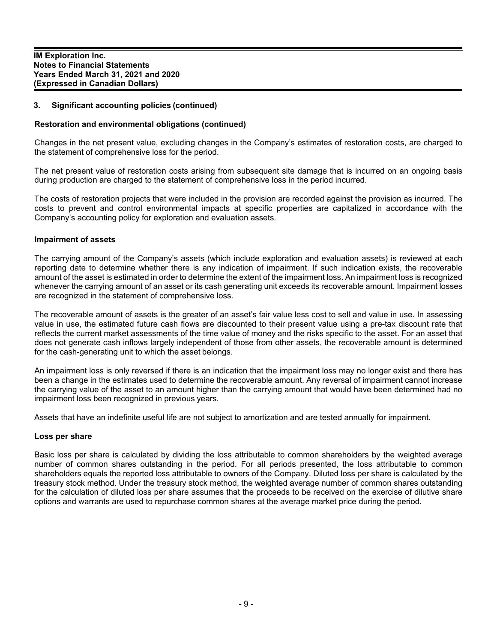# **Restoration and environmental obligations (continued)**

Changes in the net present value, excluding changes in the Company's estimates of restoration costs, are charged to the statement of comprehensive loss for the period.

The net present value of restoration costs arising from subsequent site damage that is incurred on an ongoing basis during production are charged to the statement of comprehensive loss in the period incurred.

The costs of restoration projects that were included in the provision are recorded against the provision as incurred. The costs to prevent and control environmental impacts at specific properties are capitalized in accordance with the Company's accounting policy for exploration and evaluation assets.

#### **Impairment of assets**

The carrying amount of the Company's assets (which include exploration and evaluation assets) is reviewed at each reporting date to determine whether there is any indication of impairment. If such indication exists, the recoverable amount of the asset is estimated in order to determine the extent of the impairment loss. An impairment loss is recognized whenever the carrying amount of an asset or its cash generating unit exceeds its recoverable amount. Impairment losses are recognized in the statement of comprehensive loss.

The recoverable amount of assets is the greater of an asset's fair value less cost to sell and value in use. In assessing value in use, the estimated future cash flows are discounted to their present value using a pre-tax discount rate that reflects the current market assessments of the time value of money and the risks specific to the asset. For an asset that does not generate cash inflows largely independent of those from other assets, the recoverable amount is determined for the cash-generating unit to which the asset belongs.

An impairment loss is only reversed if there is an indication that the impairment loss may no longer exist and there has been a change in the estimates used to determine the recoverable amount. Any reversal of impairment cannot increase the carrying value of the asset to an amount higher than the carrying amount that would have been determined had no impairment loss been recognized in previous years.

Assets that have an indefinite useful life are not subject to amortization and are tested annually for impairment.

#### **Loss per share**

Basic loss per share is calculated by dividing the loss attributable to common shareholders by the weighted average number of common shares outstanding in the period. For all periods presented, the loss attributable to common shareholders equals the reported loss attributable to owners of the Company. Diluted loss per share is calculated by the treasury stock method. Under the treasury stock method, the weighted average number of common shares outstanding for the calculation of diluted loss per share assumes that the proceeds to be received on the exercise of dilutive share options and warrants are used to repurchase common shares at the average market price during the period.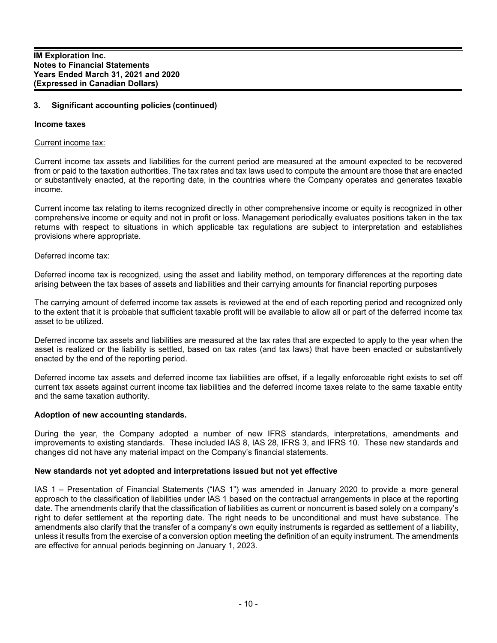#### **Income taxes**

#### Current income tax:

Current income tax assets and liabilities for the current period are measured at the amount expected to be recovered from or paid to the taxation authorities. The tax rates and tax laws used to compute the amount are those that are enacted or substantively enacted, at the reporting date, in the countries where the Company operates and generates taxable income.

Current income tax relating to items recognized directly in other comprehensive income or equity is recognized in other comprehensive income or equity and not in profit or loss. Management periodically evaluates positions taken in the tax returns with respect to situations in which applicable tax regulations are subject to interpretation and establishes provisions where appropriate.

#### Deferred income tax:

Deferred income tax is recognized, using the asset and liability method, on temporary differences at the reporting date arising between the tax bases of assets and liabilities and their carrying amounts for financial reporting purposes

The carrying amount of deferred income tax assets is reviewed at the end of each reporting period and recognized only to the extent that it is probable that sufficient taxable profit will be available to allow all or part of the deferred income tax asset to be utilized.

Deferred income tax assets and liabilities are measured at the tax rates that are expected to apply to the year when the asset is realized or the liability is settled, based on tax rates (and tax laws) that have been enacted or substantively enacted by the end of the reporting period.

Deferred income tax assets and deferred income tax liabilities are offset, if a legally enforceable right exists to set off current tax assets against current income tax liabilities and the deferred income taxes relate to the same taxable entity and the same taxation authority.

#### **Adoption of new accounting standards.**

During the year, the Company adopted a number of new IFRS standards, interpretations, amendments and improvements to existing standards. These included IAS 8, IAS 28, IFRS 3, and IFRS 10. These new standards and changes did not have any material impact on the Company's financial statements.

#### **New standards not yet adopted and interpretations issued but not yet effective**

IAS 1 – Presentation of Financial Statements ("IAS 1") was amended in January 2020 to provide a more general approach to the classification of liabilities under IAS 1 based on the contractual arrangements in place at the reporting date. The amendments clarify that the classification of liabilities as current or noncurrent is based solely on a company's right to defer settlement at the reporting date. The right needs to be unconditional and must have substance. The amendments also clarify that the transfer of a company's own equity instruments is regarded as settlement of a liability, unless it results from the exercise of a conversion option meeting the definition of an equity instrument. The amendments are effective for annual periods beginning on January 1, 2023.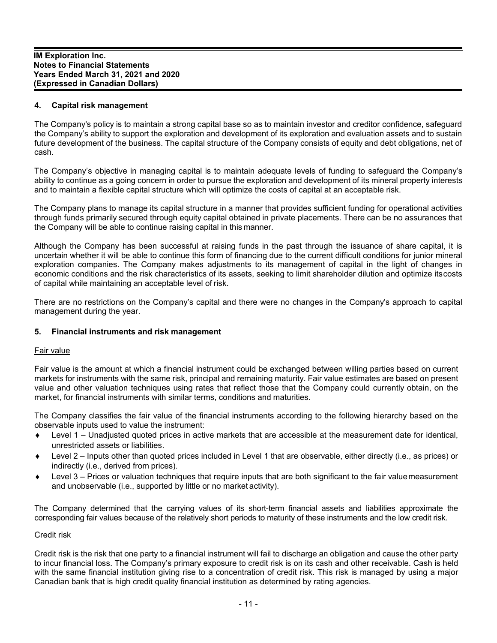# **4. Capital risk management**

The Company's policy is to maintain a strong capital base so as to maintain investor and creditor confidence, safeguard the Company's ability to support the exploration and development of its exploration and evaluation assets and to sustain future development of the business. The capital structure of the Company consists of equity and debt obligations, net of cash.

The Company's objective in managing capital is to maintain adequate levels of funding to safeguard the Company's ability to continue as a going concern in order to pursue the exploration and development of its mineral property interests and to maintain a flexible capital structure which will optimize the costs of capital at an acceptable risk.

The Company plans to manage its capital structure in a manner that provides sufficient funding for operational activities through funds primarily secured through equity capital obtained in private placements. There can be no assurances that the Company will be able to continue raising capital in this manner.

Although the Company has been successful at raising funds in the past through the issuance of share capital, it is uncertain whether it will be able to continue this form of financing due to the current difficult conditions for junior mineral exploration companies. The Company makes adjustments to its management of capital in the light of changes in economic conditions and the risk characteristics of its assets, seeking to limit shareholder dilution and optimize itscosts of capital while maintaining an acceptable level of risk.

There are no restrictions on the Company's capital and there were no changes in the Company's approach to capital management during the year.

#### **5. Financial instruments and risk management**

#### Fair value

Fair value is the amount at which a financial instrument could be exchanged between willing parties based on current markets for instruments with the same risk, principal and remaining maturity. Fair value estimates are based on present value and other valuation techniques using rates that reflect those that the Company could currently obtain, on the market, for financial instruments with similar terms, conditions and maturities.

The Company classifies the fair value of the financial instruments according to the following hierarchy based on the observable inputs used to value the instrument:

- Level 1 Unadjusted quoted prices in active markets that are accessible at the measurement date for identical, unrestricted assets or liabilities.
- Level 2 Inputs other than quoted prices included in Level 1 that are observable, either directly (i.e., as prices) or indirectly (i.e., derived from prices).
- ♦ Level 3 Prices or valuation techniques that require inputs that are both significant to the fair valuemeasurement and unobservable (i.e., supported by little or no market activity).

The Company determined that the carrying values of its short-term financial assets and liabilities approximate the corresponding fair values because of the relatively short periods to maturity of these instruments and the low credit risk.

#### Credit risk

Credit risk is the risk that one party to a financial instrument will fail to discharge an obligation and cause the other party to incur financial loss. The Company's primary exposure to credit risk is on its cash and other receivable. Cash is held with the same financial institution giving rise to a concentration of credit risk. This risk is managed by using a major Canadian bank that is high credit quality financial institution as determined by rating agencies.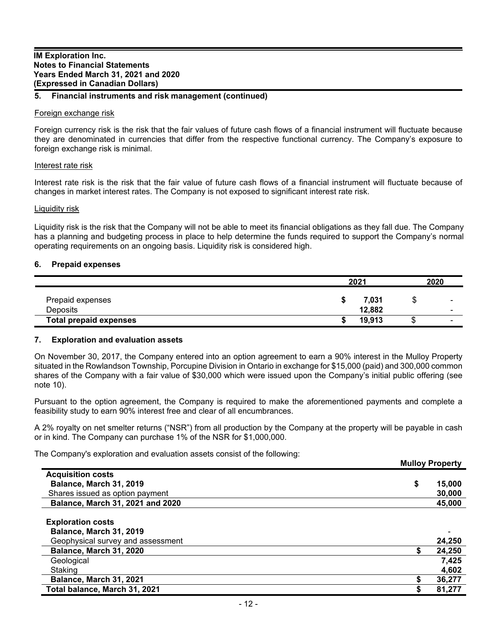# **5. Financial instruments and risk management (continued)**

#### Foreign exchange risk

Foreign currency risk is the risk that the fair values of future cash flows of a financial instrument will fluctuate because they are denominated in currencies that differ from the respective functional currency. The Company's exposure to foreign exchange risk is minimal.

#### Interest rate risk

Interest rate risk is the risk that the fair value of future cash flows of a financial instrument will fluctuate because of changes in market interest rates. The Company is not exposed to significant interest rate risk.

#### Liquidity risk

Liquidity risk is the risk that the Company will not be able to meet its financial obligations as they fall due. The Company has a planning and budgeting process in place to help determine the funds required to support the Company's normal operating requirements on an ongoing basis. Liquidity risk is considered high.

#### **6. Prepaid expenses**

|                               | 2021   |   | 2020                     |
|-------------------------------|--------|---|--------------------------|
| Prepaid expenses              | 7.031  | ง | $\overline{\phantom{0}}$ |
| Deposits                      | 12,882 |   | $\overline{\phantom{a}}$ |
| <b>Total prepaid expenses</b> | 19,913 |   | $\overline{\phantom{0}}$ |

#### **7. Exploration and evaluation assets**

On November 30, 2017, the Company entered into an option agreement to earn a 90% interest in the Mulloy Property situated in the Rowlandson Township, Porcupine Division in Ontario in exchange for \$15,000 (paid) and 300,000 common shares of the Company with a fair value of \$30,000 which were issued upon the Company's initial public offering (see note 10).

Pursuant to the option agreement, the Company is required to make the aforementioned payments and complete a feasibility study to earn 90% interest free and clear of all encumbrances.

A 2% royalty on net smelter returns ("NSR") from all production by the Company at the property will be payable in cash or in kind. The Company can purchase 1% of the NSR for \$1,000,000.

**Mulloy Property**

The Company's exploration and evaluation assets consist of the following:

|                                   |    | <b>INIGHTY FIVELLY</b> |
|-----------------------------------|----|------------------------|
| <b>Acquisition costs</b>          |    |                        |
| Balance, March 31, 2019           | \$ | 15,000                 |
| Shares issued as option payment   |    | 30,000                 |
| Balance, March 31, 2021 and 2020  |    | 45,000                 |
| <b>Exploration costs</b>          |    |                        |
| <b>Balance, March 31, 2019</b>    |    |                        |
| Geophysical survey and assessment |    | 24,250                 |
| Balance, March 31, 2020           |    | 24,250                 |
| Geological                        |    | 7,425                  |
| Staking                           |    | 4,602                  |
| Balance, March 31, 2021           |    | 36,277                 |
| Total balance, March 31, 2021     | ¢  | 81,277                 |
|                                   |    |                        |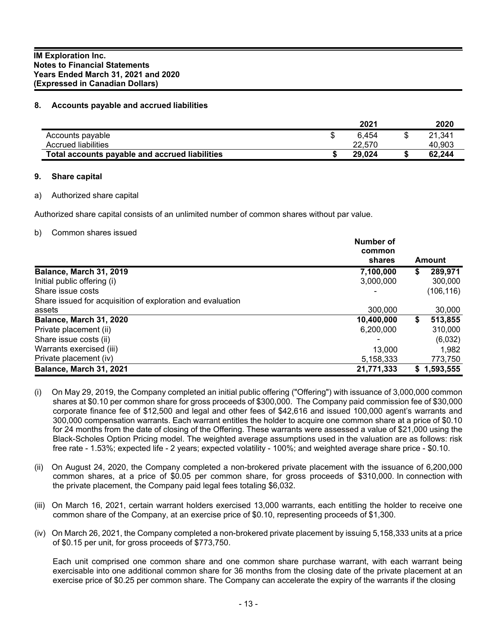# **8. Accounts payable and accrued liabilities**

|                                                | 2021   | 2020   |
|------------------------------------------------|--------|--------|
| Accounts payable                               | 6.454  | 21.341 |
| Accrued liabilities                            | 22,570 | 40,903 |
| Total accounts payable and accrued liabilities | 29.024 | 62.244 |

#### **9. Share capital**

#### a) Authorized share capital

Authorized share capital consists of an unlimited number of common shares without par value.

#### b) Common shares issued

|                                                            | Number of<br>common<br>shares |    | Amount    |
|------------------------------------------------------------|-------------------------------|----|-----------|
| Balance, March 31, 2019                                    | 7,100,000                     | S  | 289,971   |
| Initial public offering (i)                                | 3,000,000                     |    | 300,000   |
| Share issue costs                                          |                               |    | (106,116) |
| Share issued for acquisition of exploration and evaluation |                               |    |           |
| assets                                                     | 300,000                       |    | 30,000    |
| Balance, March 31, 2020                                    | 10,400,000                    | \$ | 513,855   |
| Private placement (ii)                                     | 6,200,000                     |    | 310,000   |
| Share issue costs (ii)                                     |                               |    | (6,032)   |
| Warrants exercised (iii)                                   | 13,000                        |    | 1,982     |
| Private placement (iv)                                     | 5.158.333                     |    | 773.750   |
| Balance, March 31, 2021                                    | 21,771,333                    | S. | 1,593,555 |

- (i) On May 29, 2019, the Company completed an initial public offering ("Offering") with issuance of 3,000,000 common shares at \$0.10 per common share for gross proceeds of \$300,000. The Company paid commission fee of \$30,000 corporate finance fee of \$12,500 and legal and other fees of \$42,616 and issued 100,000 agent's warrants and 300,000 compensation warrants. Each warrant entitles the holder to acquire one common share at a price of \$0.10 for 24 months from the date of closing of the Offering. These warrants were assessed a value of \$21,000 using the Black-Scholes Option Pricing model. The weighted average assumptions used in the valuation are as follows: risk free rate - 1.53%; expected life - 2 years; expected volatility - 100%; and weighted average share price - \$0.10.
- (ii) On August 24, 2020, the Company completed a non-brokered private placement with the issuance of 6,200,000 common shares, at a price of \$0.05 per common share, for gross proceeds of \$310,000. In connection with the private placement, the Company paid legal fees totaling \$6,032.
- (iii) On March 16, 2021, certain warrant holders exercised 13,000 warrants, each entitling the holder to receive one common share of the Company, at an exercise price of \$0.10, representing proceeds of \$1,300.
- (iv) On March 26, 2021, the Company completed a non-brokered private placement by issuing 5,158,333 units at a price of \$0.15 per unit, for gross proceeds of \$773,750.

Each unit comprised one common share and one common share purchase warrant, with each warrant being exercisable into one additional common share for 36 months from the closing date of the private placement at an exercise price of \$0.25 per common share. The Company can accelerate the expiry of the warrants if the closing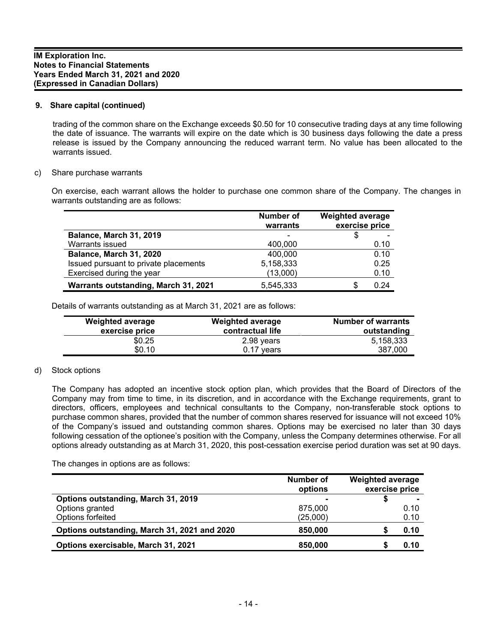#### **9. Share capital (continued)**

trading of the common share on the Exchange exceeds \$0.50 for 10 consecutive trading days at any time following the date of issuance. The warrants will expire on the date which is 30 business days following the date a press release is issued by the Company announcing the reduced warrant term. No value has been allocated to the warrants issued.

#### c) Share purchase warrants

On exercise, each warrant allows the holder to purchase one common share of the Company. The changes in warrants outstanding are as follows:

|                                       | Number of<br>warrants | <b>Weighted average</b><br>exercise price |
|---------------------------------------|-----------------------|-------------------------------------------|
| Balance, March 31, 2019               |                       |                                           |
| Warrants issued                       | 400,000               | 0.10                                      |
| Balance, March 31, 2020               | 400,000               | 0.10                                      |
| Issued pursuant to private placements | 5,158,333             | 0.25                                      |
| Exercised during the year             | (13,000)              | 0.10                                      |
| Warrants outstanding, March 31, 2021  | 5,545,333             | 0.24                                      |

Details of warrants outstanding as at March 31, 2021 are as follows:

| <b>Weighted average</b> | <b>Weighted average</b> | <b>Number of warrants</b> |
|-------------------------|-------------------------|---------------------------|
| exercise price          | contractual life        | outstanding               |
| \$0.25                  | 2.98 years              | 5,158,333                 |
| \$0.10                  | $0.17$ years            | 387,000                   |

# d) Stock options

The Company has adopted an incentive stock option plan, which provides that the Board of Directors of the Company may from time to time, in its discretion, and in accordance with the Exchange requirements, grant to directors, officers, employees and technical consultants to the Company, non-transferable stock options to purchase common shares, provided that the number of common shares reserved for issuance will not exceed 10% of the Company's issued and outstanding common shares. Options may be exercised no later than 30 days following cessation of the optionee's position with the Company, unless the Company determines otherwise. For all options already outstanding as at March 31, 2020, this post-cessation exercise period duration was set at 90 days.

The changes in options are as follows:

|                                              | Number of<br>options | <b>Weighted average</b><br>exercise price |
|----------------------------------------------|----------------------|-------------------------------------------|
| Options outstanding, March 31, 2019          |                      |                                           |
| Options granted                              | 875,000              | 0.10                                      |
| Options forfeited                            | (25,000)             | 0.10                                      |
| Options outstanding, March 31, 2021 and 2020 | 850,000              | 0.10                                      |
| Options exercisable, March 31, 2021          | 850,000              | 0.10                                      |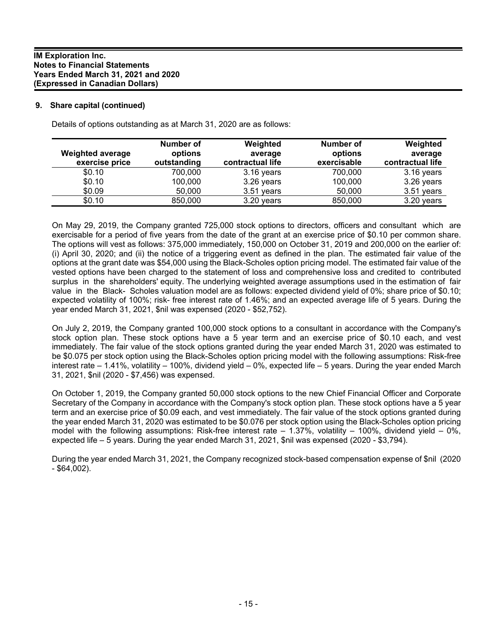# **9. Share capital (continued)**

Details of options outstanding as at March 31, 2020 are as follows:

|                         | Number of   | Weighted         | Number of   | Weighted         |
|-------------------------|-------------|------------------|-------------|------------------|
| <b>Weighted average</b> | options     | average          | options     | average          |
| exercise price          | outstanding | contractual life | exercisable | contractual life |
| \$0.10                  | 700,000     | 3.16 years       | 700,000     | 3.16 years       |
| \$0.10                  | 100,000     | 3.26 years       | 100,000     | 3.26 years       |
| \$0.09                  | 50,000      | $3.51$ years     | 50,000      | $3.51$ years     |
| \$0.10                  | 850,000     | 3.20 years       | 850,000     | 3.20 years       |

On May 29, 2019, the Company granted 725,000 stock options to directors, officers and consultant which are exercisable for a period of five years from the date of the grant at an exercise price of \$0.10 per common share. The options will vest as follows: 375,000 immediately, 150,000 on October 31, 2019 and 200,000 on the earlier of: (i) April 30, 2020; and (ii) the notice of a triggering event as defined in the plan. The estimated fair value of the options at the grant date was \$54,000 using the Black-Scholes option pricing model. The estimated fair value of the vested options have been charged to the statement of loss and comprehensive loss and credited to contributed surplus in the shareholders' equity. The underlying weighted average assumptions used in the estimation of fair value in the Black- Scholes valuation model are as follows: expected dividend yield of 0%; share price of \$0.10; expected volatility of 100%; risk- free interest rate of 1.46%; and an expected average life of 5 years. During the year ended March 31, 2021, \$nil was expensed (2020 - \$52,752).

On July 2, 2019, the Company granted 100,000 stock options to a consultant in accordance with the Company's stock option plan. These stock options have a 5 year term and an exercise price of \$0.10 each, and vest immediately. The fair value of the stock options granted during the year ended March 31, 2020 was estimated to be \$0.075 per stock option using the Black-Scholes option pricing model with the following assumptions: Risk-free interest rate – 1.41%, volatility – 100%, dividend yield – 0%, expected life – 5 years. During the year ended March 31, 2021, \$nil (2020 - \$7,456) was expensed.

On October 1, 2019, the Company granted 50,000 stock options to the new Chief Financial Officer and Corporate Secretary of the Company in accordance with the Company's stock option plan. These stock options have a 5 year term and an exercise price of \$0.09 each, and vest immediately. The fair value of the stock options granted during the year ended March 31, 2020 was estimated to be \$0.076 per stock option using the Black-Scholes option pricing model with the following assumptions: Risk-free interest rate  $-1.37\%$ , volatility  $-100\%$ , dividend yield  $-0\%$ . expected life – 5 years. During the year ended March 31, 2021, \$nil was expensed (2020 - \$3,794).

During the year ended March 31, 2021, the Company recognized stock-based compensation expense of \$nil (2020  $-$  \$64,002).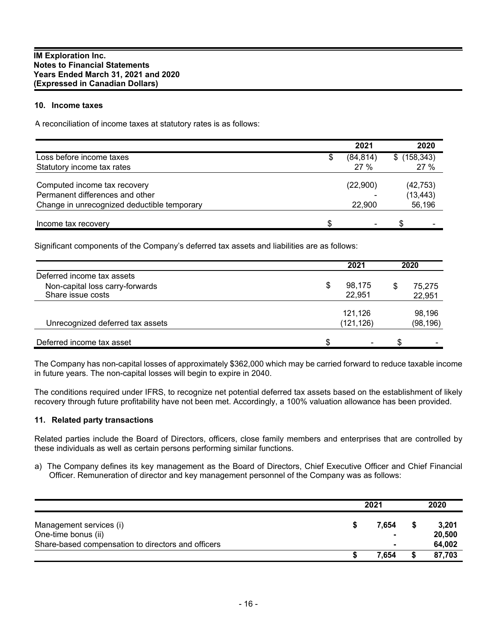# **10. Income taxes**

A reconciliation of income taxes at statutory rates is as follows:

|                                             |     | 2021           | 2020         |
|---------------------------------------------|-----|----------------|--------------|
| Loss before income taxes                    | \$  | (84, 814)      | \$(158, 343) |
| Statutory income tax rates                  |     | 27%            | 27%          |
| Computed income tax recovery                |     | (22,900)       | (42, 753)    |
| Permanent differences and other             |     |                | (13, 443)    |
| Change in unrecognized deductible temporary |     | 22,900         | 56,196       |
| Income tax recovery                         | \$. | $\blacksquare$ | \$           |

Significant components of the Company's deferred tax assets and liabilities are as follows:

|                                  |   | 2021                     | 2020 |        |
|----------------------------------|---|--------------------------|------|--------|
| Deferred income tax assets       |   |                          |      |        |
| Non-capital loss carry-forwards  | S | 98,175                   | \$   | 75.275 |
| Share issue costs                |   | 22,951                   |      | 22,951 |
|                                  |   | 121,126                  |      | 98.196 |
| Unrecognized deferred tax assets |   | (121, 126)               |      |        |
| Deferred income tax asset        |   | $\overline{\phantom{0}}$ | \$   |        |

The Company has non-capital losses of approximately \$362,000 which may be carried forward to reduce taxable income in future years. The non-capital losses will begin to expire in 2040.

The conditions required under IFRS, to recognize net potential deferred tax assets based on the establishment of likely recovery through future profitability have not been met. Accordingly, a 100% valuation allowance has been provided.

#### **11. Related party transactions**

Related parties include the Board of Directors, officers, close family members and enterprises that are controlled by these individuals as well as certain persons performing similar functions.

a) The Company defines its key management as the Board of Directors, Chief Executive Officer and Chief Financial Officer. Remuneration of director and key management personnel of the Company was as follows:

|                                                    |   | 2021   |   | 2020   |  |
|----------------------------------------------------|---|--------|---|--------|--|
| Management services (i)                            |   | 7.654  | S | 3,201  |  |
| One-time bonus (ii)                                |   | $\sim$ |   | 20,500 |  |
| Share-based compensation to directors and officers |   |        |   | 64,002 |  |
|                                                    | Ð | 7.654  |   | 87,703 |  |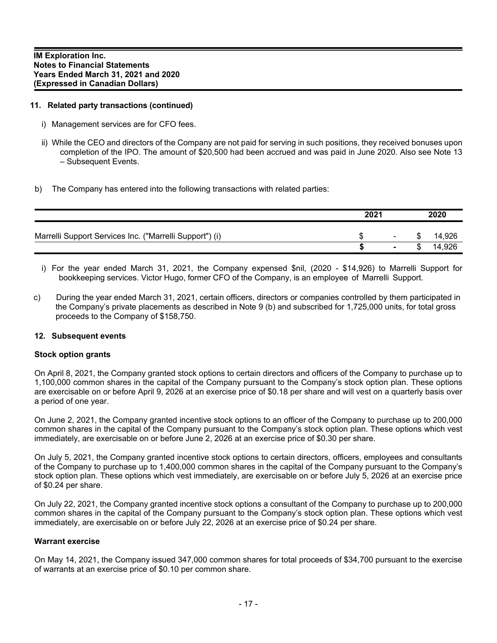# **11. Related party transactions (continued)**

- i) Management services are for CFO fees.
- ii) While the CEO and directors of the Company are not paid for serving in such positions, they received bonuses upon completion of the IPO. The amount of \$20,500 had been accrued and was paid in June 2020. Also see Note 13 – Subsequent Events.
- b) The Company has entered into the following transactions with related parties:

|                                                         | 2021   |  |        |
|---------------------------------------------------------|--------|--|--------|
| Marrelli Support Services Inc. ("Marrelli Support") (i) | $\sim$ |  | 14,926 |
|                                                         | $\sim$ |  | 4,926  |

- i) For the year ended March 31, 2021, the Company expensed \$nil, (2020 \$14,926) to Marrelli Support for bookkeeping services. Victor Hugo, former CFO of the Company, is an employee of Marrelli Support.
- c) During the year ended March 31, 2021, certain officers, directors or companies controlled by them participated in the Company's private placements as described in Note 9 (b) and subscribed for 1,725,000 units, for total gross proceeds to the Company of \$158,750.

#### **12. Subsequent events**

#### **Stock option grants**

On April 8, 2021, the Company granted stock options to certain directors and officers of the Company to purchase up to 1,100,000 common shares in the capital of the Company pursuant to the Company's stock option plan. These options are exercisable on or before April 9, 2026 at an exercise price of \$0.18 per share and will vest on a quarterly basis over a period of one year.

On June 2, 2021, the Company granted incentive stock options to an officer of the Company to purchase up to 200,000 common shares in the capital of the Company pursuant to the Company's stock option plan. These options which vest immediately, are exercisable on or before June 2, 2026 at an exercise price of \$0.30 per share.

On July 5, 2021, the Company granted incentive stock options to certain directors, officers, employees and consultants of the Company to purchase up to 1,400,000 common shares in the capital of the Company pursuant to the Company's stock option plan. These options which vest immediately, are exercisable on or before July 5, 2026 at an exercise price of \$0.24 per share.

On July 22, 2021, the Company granted incentive stock options a consultant of the Company to purchase up to 200,000 common shares in the capital of the Company pursuant to the Company's stock option plan. These options which vest immediately, are exercisable on or before July 22, 2026 at an exercise price of \$0.24 per share.

#### **Warrant exercise**

On May 14, 2021, the Company issued 347,000 common shares for total proceeds of \$34,700 pursuant to the exercise of warrants at an exercise price of \$0.10 per common share.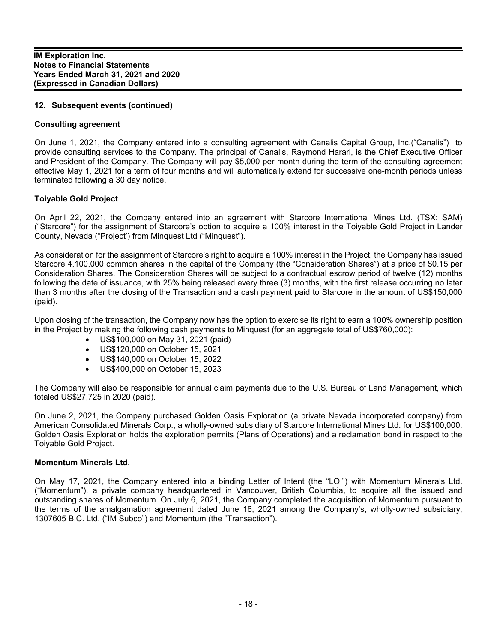# **12. Subsequent events (continued)**

# **Consulting agreement**

On June 1, 2021, the Company entered into a consulting agreement with Canalis Capital Group, Inc.("Canalis") to provide consulting services to the Company. The principal of Canalis, Raymond Harari, is the Chief Executive Officer and President of the Company. The Company will pay \$5,000 per month during the term of the consulting agreement effective May 1, 2021 for a term of four months and will automatically extend for successive one-month periods unless terminated following a 30 day notice.

# **Toiyable Gold Project**

On April 22, 2021, the Company entered into an agreement with Starcore International Mines Ltd. (TSX: SAM) ("Starcore") for the assignment of Starcore's option to acquire a 100% interest in the Toiyable Gold Project in Lander County, Nevada ("Project') from Minquest Ltd ("Minquest").

As consideration for the assignment of Starcore's right to acquire a 100% interest in the Project, the Company has issued Starcore 4,100,000 common shares in the capital of the Company (the "Consideration Shares") at a price of \$0.15 per Consideration Shares. The Consideration Shares will be subject to a contractual escrow period of twelve (12) months following the date of issuance, with 25% being released every three (3) months, with the first release occurring no later than 3 months after the closing of the Transaction and a cash payment paid to Starcore in the amount of US\$150,000 (paid).

Upon closing of the transaction, the Company now has the option to exercise its right to earn a 100% ownership position in the Project by making the following cash payments to Minquest (for an aggregate total of US\$760,000):

- US\$100,000 on May 31, 2021 (paid)
- US\$120,000 on October 15, 2021
- US\$140,000 on October 15, 2022
- US\$400,000 on October 15, 2023

The Company will also be responsible for annual claim payments due to the U.S. Bureau of Land Management, which totaled US\$27,725 in 2020 (paid).

On June 2, 2021, the Company purchased Golden Oasis Exploration (a private Nevada incorporated company) from American Consolidated Minerals Corp., a wholly-owned subsidiary of Starcore International Mines Ltd. for US\$100,000. Golden Oasis Exploration holds the exploration permits (Plans of Operations) and a reclamation bond in respect to the Toiyable Gold Project.

#### **Momentum Minerals Ltd.**

On May 17, 2021, the Company entered into a binding Letter of Intent (the "LOI") with Momentum Minerals Ltd. ("Momentum"), a private company headquartered in Vancouver, British Columbia, to acquire all the issued and outstanding shares of Momentum. On July 6, 2021, the Company completed the acquisition of Momentum pursuant to the terms of the amalgamation agreement dated June 16, 2021 among the Company's, wholly-owned subsidiary, 1307605 B.C. Ltd. ("IM Subco") and Momentum (the "Transaction").